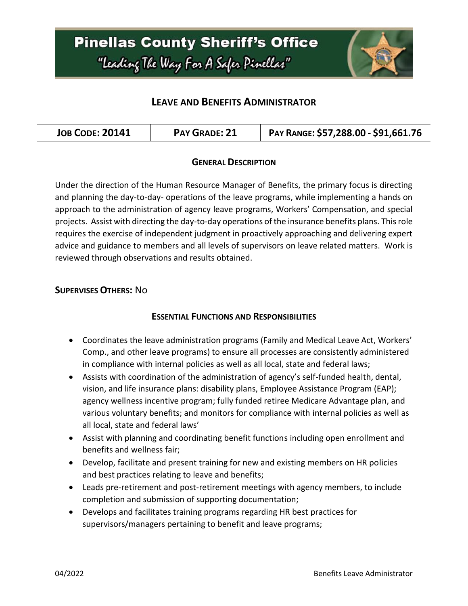# **Pinellas County Sheriff's Office** "Leading The Way For A Safer Pinellar"



### **LEAVE AND BENEFITS ADMINISTRATOR**

| <b>JOB CODE: 20141</b> | <b>PAY GRADE: 21</b> | PAY RANGE: \$57,288.00 - \$91,661.76 |
|------------------------|----------------------|--------------------------------------|
|------------------------|----------------------|--------------------------------------|

### **GENERAL DESCRIPTION**

Under the direction of the Human Resource Manager of Benefits, the primary focus is directing and planning the day-to-day- operations of the leave programs, while implementing a hands on approach to the administration of agency leave programs, Workers' Compensation, and special projects. Assist with directing the day-to-day operations of the insurance benefits plans. This role requires the exercise of independent judgment in proactively approaching and delivering expert advice and guidance to members and all levels of supervisors on leave related matters. Work is reviewed through observations and results obtained.

### **SUPERVISES OTHERS:** No

### **ESSENTIAL FUNCTIONS AND RESPONSIBILITIES**

- Coordinates the leave administration programs (Family and Medical Leave Act, Workers' Comp., and other leave programs) to ensure all processes are consistently administered in compliance with internal policies as well as all local, state and federal laws;
- Assists with coordination of the administration of agency's self-funded health, dental, vision, and life insurance plans: disability plans, Employee Assistance Program (EAP); agency wellness incentive program; fully funded retiree Medicare Advantage plan, and various voluntary benefits; and monitors for compliance with internal policies as well as all local, state and federal laws'
- Assist with planning and coordinating benefit functions including open enrollment and benefits and wellness fair;
- Develop, facilitate and present training for new and existing members on HR policies and best practices relating to leave and benefits;
- Leads pre-retirement and post-retirement meetings with agency members, to include completion and submission of supporting documentation;
- Develops and facilitates training programs regarding HR best practices for supervisors/managers pertaining to benefit and leave programs;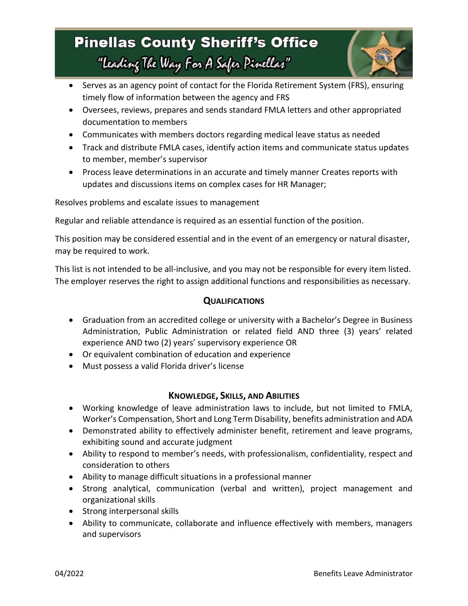# **Pinellas County Sheriff's Office** "Leading The Way For A Safer Pinellar"



- Serves as an agency point of contact for the Florida Retirement System (FRS), ensuring timely flow of information between the agency and FRS
- Oversees, reviews, prepares and sends standard FMLA letters and other appropriated documentation to members
- Communicates with members doctors regarding medical leave status as needed
- Track and distribute FMLA cases, identify action items and communicate status updates to member, member's supervisor
- Process leave determinations in an accurate and timely manner Creates reports with updates and discussions items on complex cases for HR Manager;

Resolves problems and escalate issues to management

Regular and reliable attendance is required as an essential function of the position.

This position may be considered essential and in the event of an emergency or natural disaster, may be required to work.

This list is not intended to be all-inclusive, and you may not be responsible for every item listed. The employer reserves the right to assign additional functions and responsibilities as necessary.

### **QUALIFICATIONS**

- Graduation from an accredited college or university with a Bachelor's Degree in Business Administration, Public Administration or related field AND three (3) years' related experience AND two (2) years' supervisory experience OR
- Or equivalent combination of education and experience
- Must possess a valid Florida driver's license

### **KNOWLEDGE, SKILLS, AND ABILITIES**

- Working knowledge of leave administration laws to include, but not limited to FMLA, Worker's Compensation, Short and Long Term Disability, benefits administration and ADA
- Demonstrated ability to effectively administer benefit, retirement and leave programs, exhibiting sound and accurate judgment
- Ability to respond to member's needs, with professionalism, confidentiality, respect and consideration to others
- Ability to manage difficult situations in a professional manner
- Strong analytical, communication (verbal and written), project management and organizational skills
- Strong interpersonal skills
- Ability to communicate, collaborate and influence effectively with members, managers and supervisors